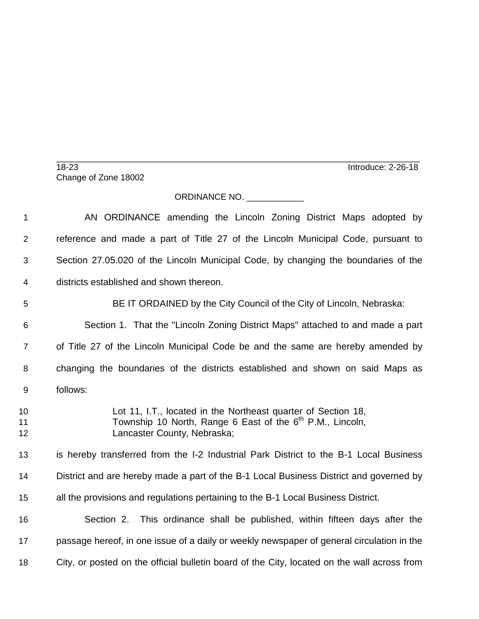\_\_\_\_\_\_\_\_\_\_\_\_\_\_\_\_\_\_\_\_\_\_\_\_\_\_\_\_\_\_\_\_\_\_\_\_\_\_\_\_\_\_\_\_\_\_\_\_\_\_\_\_\_\_\_\_\_\_\_\_\_\_\_\_\_\_\_\_\_\_\_\_\_\_\_\_ 18-23 Introduce: 2-26-18 Change of Zone 18002

## ORDINANCE NO.

 AN ORDINANCE amending the Lincoln Zoning District Maps adopted by reference and made a part of Title 27 of the Lincoln Municipal Code, pursuant to Section 27.05.020 of the Lincoln Municipal Code, by changing the boundaries of the districts established and shown thereon. BE IT ORDAINED by the City Council of the City of Lincoln, Nebraska: Section 1. That the "Lincoln Zoning District Maps" attached to and made a part of Title 27 of the Lincoln Municipal Code be and the same are hereby amended by changing the boundaries of the districts established and shown on said Maps as follows: Lot 11, I.T., located in the Northeast quarter of Section 18, 11 Township 10 North, Range 6 East of the 6<sup>th</sup> P.M., Lincoln, Lancaster County, Nebraska; is hereby transferred from the I-2 Industrial Park District to the B-1 Local Business District and are hereby made a part of the B-1 Local Business District and governed by all the provisions and regulations pertaining to the B-1 Local Business District. Section 2. This ordinance shall be published, within fifteen days after the passage hereof, in one issue of a daily or weekly newspaper of general circulation in the City, or posted on the official bulletin board of the City, located on the wall across from